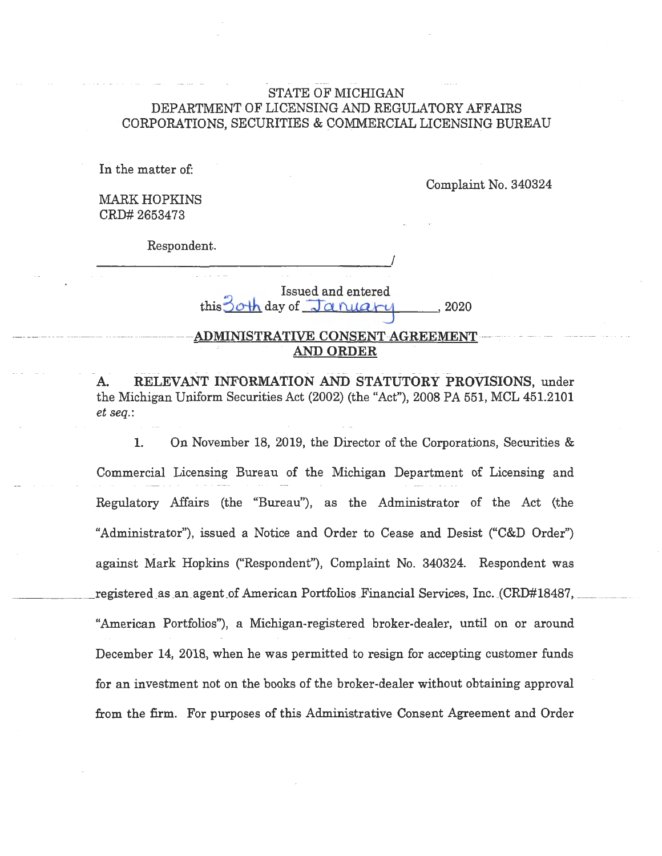### STATE OF MICHIGAN DEPARTMENT OF LICENSING AND REGULATORY AFFAIRS CORPORATIONS, SECURITIES & COMMERCIAL LICENSING BUREAU

In the matter of:

Complaint No. 340324

MARK HOPKINS CRD# 2653473

Respondent.

*\_\_\_\_\_\_\_\_\_\_\_\_\_\_\_\_\_\_ !* 

Issued and entered  $this$  day of  $Jap$   $a$   $nu$   $n$  ,  $2020$ 

### $-$  ADMINISTRATIVE CONSENT-AGREEMENT **AND ORDER**

A. RELEVANT INFORMATION AND STATUTORY PROVISIONS, under the Michigan Uniform Securities Act (2002) (the "Act"), 2008 PA 551, MCL 451.2101 *et seq.:* 

1. On November 18, 2019, the Director of the Corporations, Securities & Commercial Licensing Bureau of the Michigan Department of Licensing and Regulatory Affairs (the "Bureau"), as the Administrator of the Act (the "Administrator"), issued a Notice and Order to Cease and Desist ("C&D Order") against Mark Hopkins ("Respondent"), Complaint No. 340324. Respondent was registered as an agent of American Portfolios Financial Services, Inc. (CRD#18487, "American Portfolios"), a Michigan-registered broker-dealer, until on or around December 14, 2018, when he was permitted to resign for accepting customer funds for an investment not on the books of the broker-dealer without obtaining approval from the firm. For purposes of this Administrative Consent Agreement and Order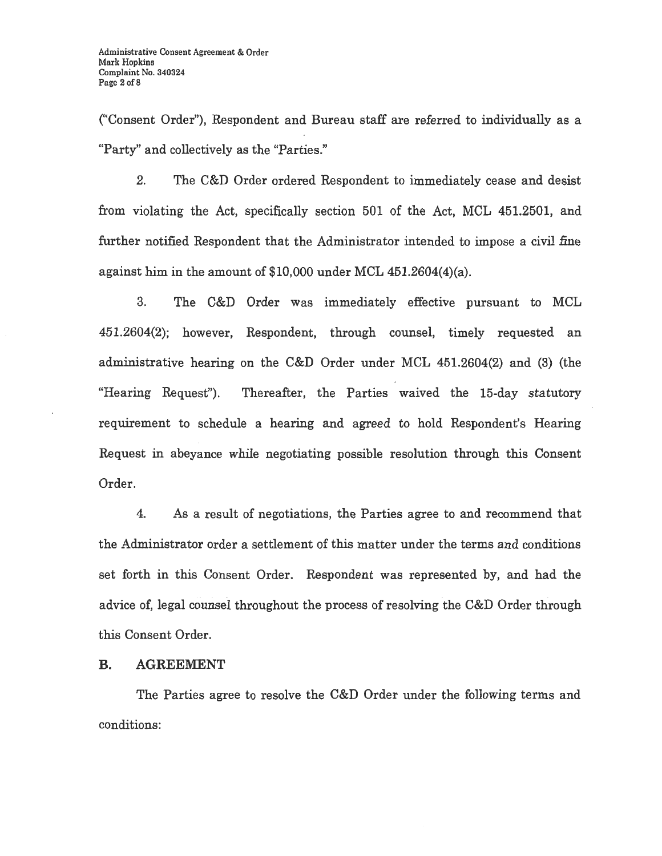("Consent Order"), Respondent and Bureau staff are referred to individually as a "Party" and collectively as the "Parties."

2. The C&D Order ordered Respondent to immediately cease and desist from violating the Act, specifically section 501 of the Act, MCL 451.2501, and further notified Respondent that the Administrator intended to impose a civil fine against him in the amount of \$10,000 under MCL 451.2604(4)(a).

3. The C&D Order was immediately effective pursuant to MCL 451.2604(2); however, Respondent, through counsel, timely requested an administrative hearing on the C&D Order under MCL 451.2604(2) and (3) (the "Hearing Request"). Thereafter, the Parties waived the 15-day statutory requirement to schedule a hearing and agreed to hold Respondent's Hearing Request in abeyance while negotiating possible resolution through this Consent Order.

4. As a result of negotiations, the Parties agree to and recommend that the Administrator order a settlement of this matter under the terms and conditions set forth in this Consent Order. Respondent was represented by, and had the advice of, legal counsel throughout the process of resolving the C&D Order through this Consent Order.

### **B.** AGREEMENT

The Parties agree to resolve the C&D Order under the following terms and conditions: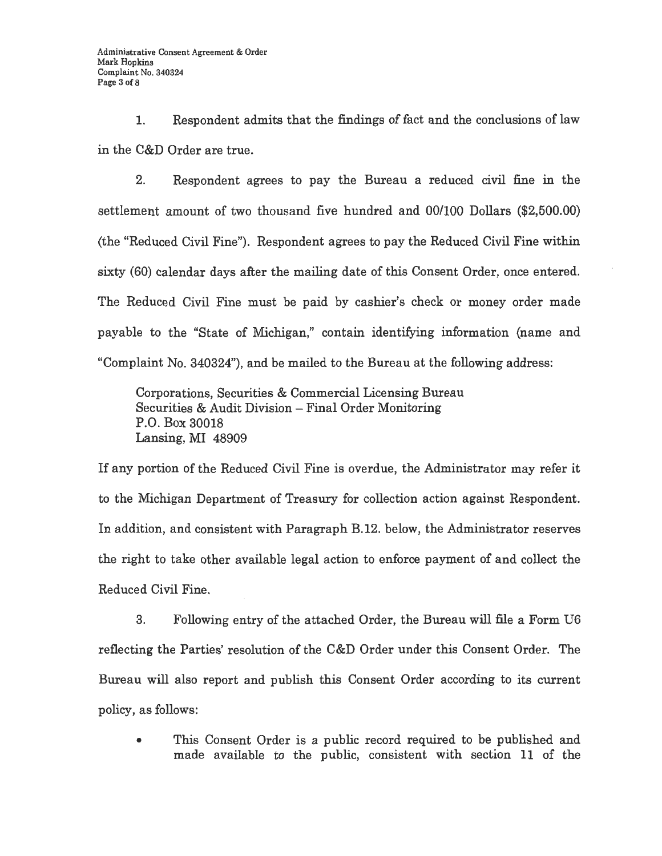1. Respondent admits that the findings of fact and the conclusions of law in the C&D Order are true.

2. Respondent agrees to pay the Bureau a reduced civil fine in the settlement amount of two thousand five hundred and 00/100 Dollars (\$2,500.00) (the "Reduced Civil Fine"). Respondent agrees to pay the Reduced Civil Fine within sixty (60) calendar days after the mailing date of this Consent Order, once entered. The Reduced Civil Fine must be paid by cashier's check or money order made payable to the "State of Michigan," contain identifying information (name and "Complaint No. 340324"), and be mailed to the Bureau at the following address:

Corporations, Securities & Commercial Licensing Bureau Securities & Audit Division - Final Order Monitoring P.O. Box 30018 Lansing, MI 48909

If any portion of the Reduced Civil Fine is overdue, the Administrator may refer it to the Michigan Department of Treasury for collection action against Respondent. In addition, and consistent with Paragraph B.12. below, the Administrator reserves the right to take other available legal action to enforce payment of and collect the Reduced Civil Fine.

3. Following entry of the attached Order, the Bureau will file a Form U6 reflecting the Parties' resolution of the C&D Order under this Consent Order. The Bureau will also report and publish this Consent Order according to its current policy, as follows:

This Consent Order is a public record required to be published and made available to the public, consistent with section 11 of the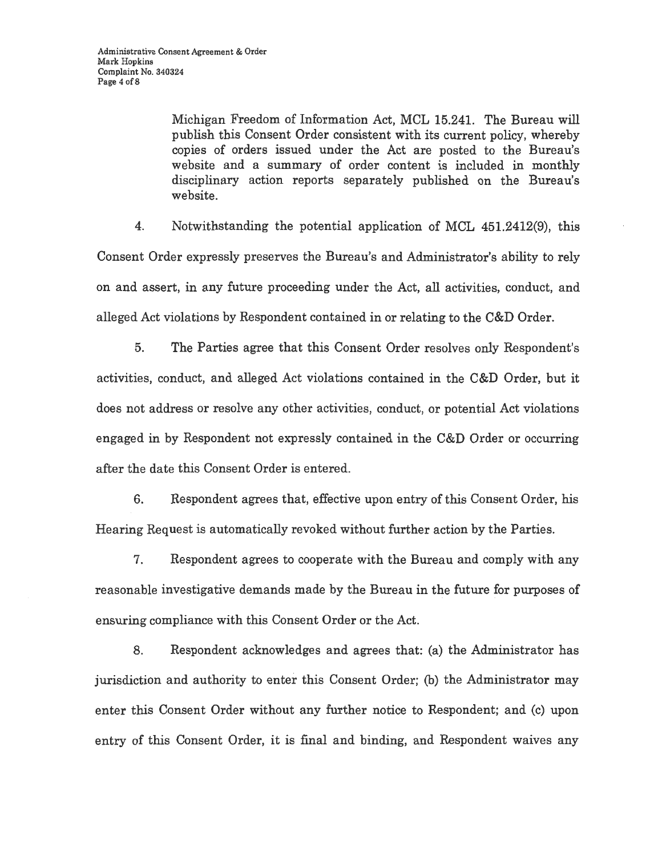Michigan Freedom of Information Act, MCL 15.241. The Bureau will publish this Consent Order consistent with its current policy, whereby copies of orders issued under the Act are posted to the Bureau's website and a summary of order content is included in monthly disciplinary action reports separately published on the Bureau's website.

4. Notwithstanding the potential application of MCL 451.2412(9), this Consent Order expressly preserves the Bureau's and Administrator's ability to rely on and assert, in any future proceeding under the Act, all activities, conduct, and alleged Act violations by Respondent contained in or relating to the C&D Order.

5. The Parties agree that this Consent Order resolves only Respondent's activities, conduct, and alleged Act violations contained in the C&D Order, but it does not address or resolve any other activities, conduct, or potential Act violations engaged in by Respondent not expressly contained in the C&D Order or occurring after the date this Consent Order is entered.

6. Respondent agrees that, effective upon entry of this Consent Order, his Hearing Request is automatically revoked without further action by the Parties.

7. Respondent agrees to cooperate with the Bureau and comply with any reasonable investigative demands made by the Bureau in the future for purposes of ensuring compliance with this Consent Order or the Act.

8. Respondent acknowledges and agrees that: (a) the Administrator has jurisdiction and authority to enter this Consent Order; (b) the Administrator may enter this Consent Order without any further notice to Respondent; and (c) upon entry of this Consent Order, it is final and binding, and Respondent waives any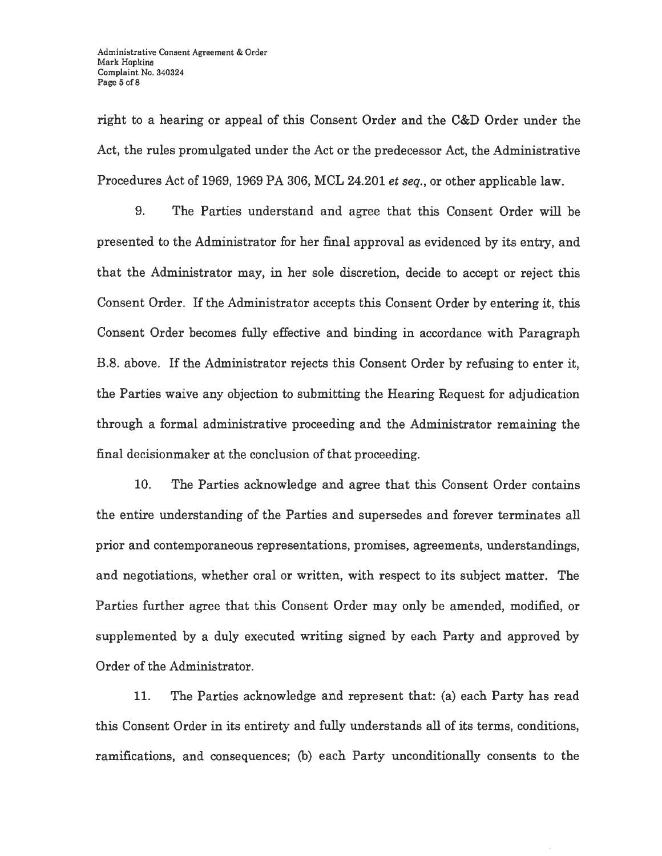right to a hearing or appeal of this Consent Order and the C&D Order under the Act, the rules promulgated under the Act or the predecessor Act, the Administrative Procedures Act of 1969, 1969 PA 306, MCL 24.201 *et seq.,* or other applicable law.

9. The Parties understand and agree that this Consent Order will be presented to the Administrator for her final approval as evidenced by its entry, and that the Administrator may, in her sole discretion, decide to accept or reject this Consent Order. If the Administrator accepts this Consent Order by entering it, this Consent Order becomes fully effective and binding in accordance with Paragraph B.8. above. If the Administrator rejects this Consent Order by refusing to enter it, the Parties waive any objection to submitting the Hearing Request for adjudication through a formal administrative proceeding and the Administrator remaining the final decisionmaker at the conclusion of that proceeding.

10. The Parties acknowledge and agree that this Consent Order contains the entire understanding of the Parties and supersedes and forever terminates all prior and contemporaneous representations, promises, agreements, understandings, and negotiations, whether oral or written, with respect to its subject matter. The Parties further agree that this Consent Order may only be amended, modified, or supplemented by a duly executed writing signed by each Party and approved by Order of the Administrator.

11. The Parties acknowledge and represent that: (a) each Party has read this Consent Order in its entirety and fully understands all of its terms, conditions, ramifications, and consequences; (b) each Party unconditionally consents to the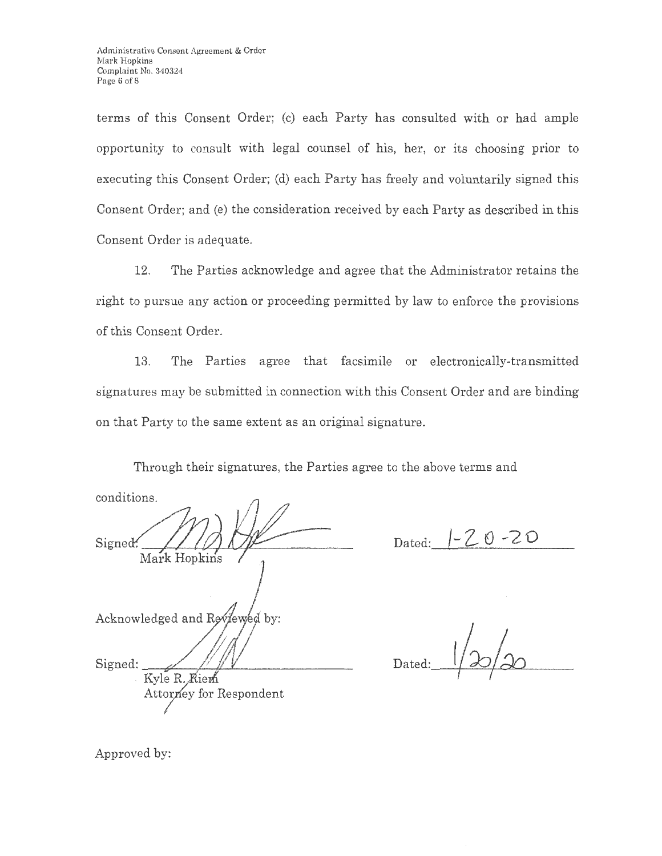terms of this Consent Order; (c) each Party has consulted with or had ample opportunity to consult with legal counsel of his, her, or its choosing prior to executing this Consent Order; (d) each Party has freely and voluntarily signed this Consent Order; and (e) the consideration received by each Party as described in this Consent Order is adequate.

12. The Parties acknowledge and agree that the Administrator retains the right to pursue any action or proceeding permitted by law to enforce the provisions of this Consent Order.

13. The Parties agree that facsimile or electronically-transmitted signatures may be submitted in connection with this Consent Order and are binding on that Party to the same extent as an original signature.

Through their signatures, the Parties agree to the above terms and

conditions. Signed: Mark Hopkins Acknowledged and Reviewed by: Signed: Kyle R. Riem Attorney for Respondent

Dated:  $|-20 - 20$ 

Dated: t I

Approved by: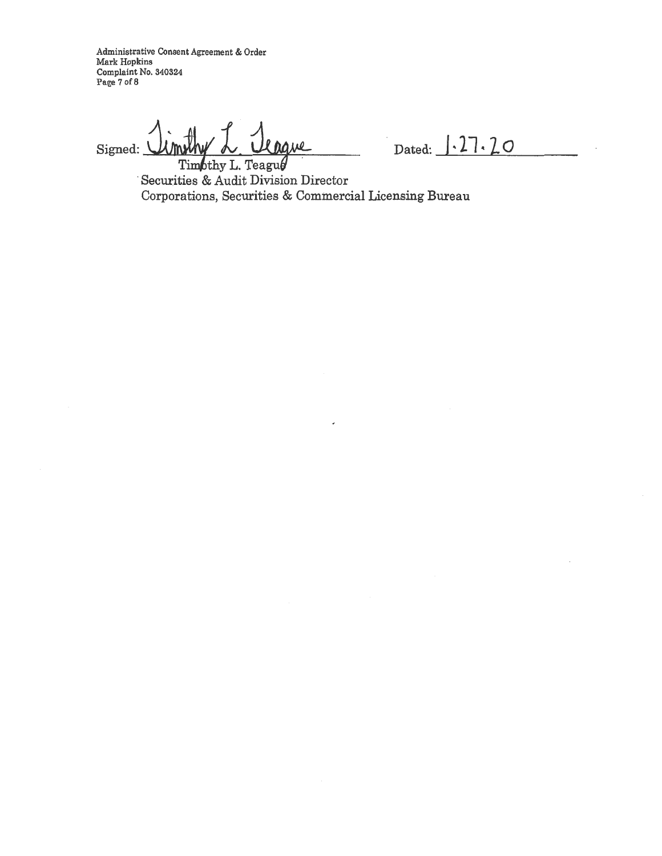**Administrative Consent Agreement** & **Order Mark Hopkins Complaint No. 340324 Page 7 of8** 

Signed: <u>Umrly L. Urgue</u> Dated: 1.27.20

Timothy L. Teagu $\theta$ Securities & Audit Division Director Corporations, Securities & Commercial Licensing Bureau

 $\overline{a}$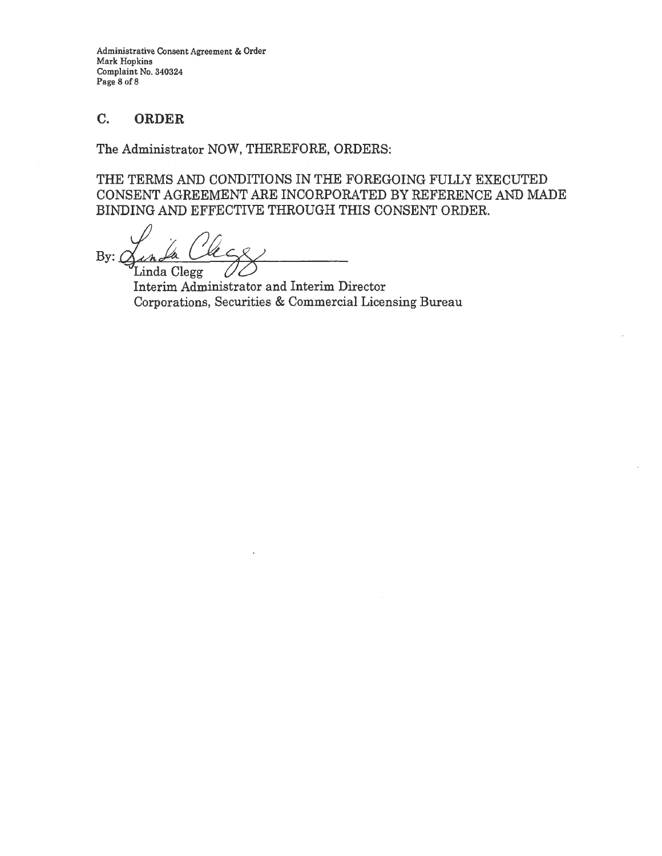Administrative Consent Agreement & Order Mark Hopkins Complaint No. 340324 Page 8 of 8

### C. **ORDER**

The Administrator NOW, THEREFORE, ORDERS:

THE TERMS AND CONDITIONS IN THE FOREGOING FULLY EXECUTED CONSENT AGREEMENT ARE INCORPORATED BY REFERENCE AND MADE BINDING AND EFFECTIVE THROUGH THIS CONSENT ORDER.

By:  $\alpha$  *L*<br>Linda Clegg

Interim Administrator and Interim Director Corporations, Securities & Commercial Licensing Bureau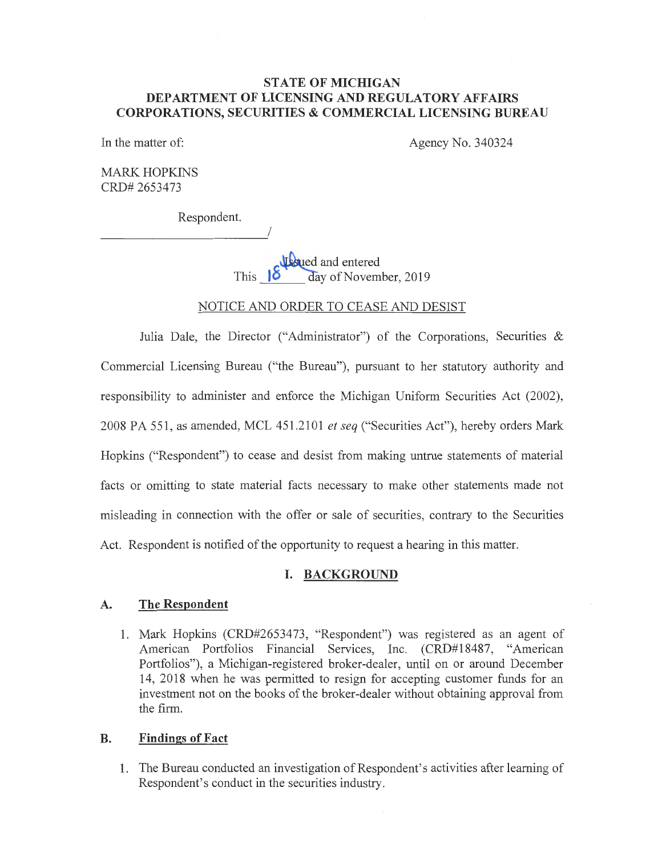### **STATE OF MICHIGAN DEPARTMENT OF LICENSING AND REGULATORY AFFAIRS CORPORATIONS, SECURITIES & COMMERCIAL LICENSING BUREAU**

In the matter of: Agency No. 340324

MARK HOPKINS CRD# 2653473

Respondent.

I

**J**sued and entered This **18** day of November, 2019

## NOTICE AND ORDER TO CEASE AND DESIST

Julia Dale, the Director ("Administrator") of the Corporations, Securities & Commercial Licensing Bureau ("the Bureau"), pursuant to her statutory authority and responsibility to administer and enforce the Michigan Uniform Securities Act (2002), 2008 PA 551 , as amended, MCL 451.2101 *et seq* ("Securities Act"), hereby orders Mark Hopkins ("Respondent") to cease and desist from making untrue statements of material facts or omitting to state material facts necessary to make other statements made not misleading in connection with the offer or sale of securities, contrary to the Securities Act. Respondent is notified of the opportunity to request a hearing in this matter.

## **I. BACKGROUND**

#### **A. The Respondent**

1. Mark Hopkins (CRD#2653473, "Respondent") was registered as an agent of American Portfolios Financial Services, Inc. (CRD#18487, "American Portfolios"), a Michigan-registered broker-dealer, until on or around December 14, 2018 when he was permitted to resign for accepting customer funds for an investment not on the books of the broker-dealer without obtaining approval from the firm.

### **B. Findings of Fact**

1. The Bureau conducted an investigation of Respondent's activities after learning of Respondent's conduct in the securities industry.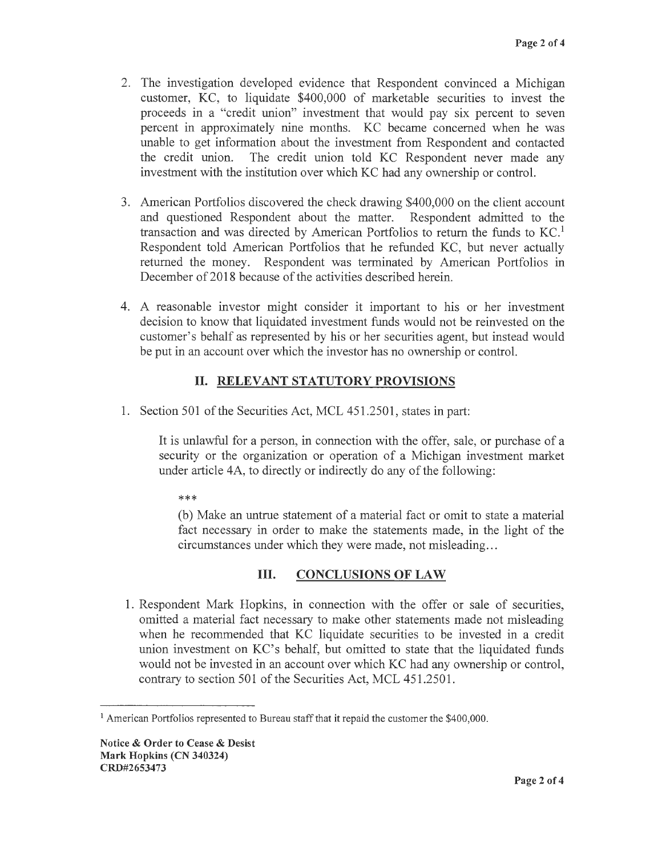- 2. The investigation developed evidence that Respondent convinced a Michigan customer, KC, to liquidate \$400,000 of marketable securities to invest the proceeds in a "credit union" investment that would pay six percent to seven percent in approximately nine months. KC became concerned when he was unable to get information about the investment from Respondent and contacted the credit union. The credit union told KC Respondent never made any investment with the institution over which KC had any ownership or control.
- 3. American Portfolios discovered the check drawing \$400,000 on the client account and questioned Respondent about the matter. Respondent admitted to the transaction and was directed by American Portfolios to return the funds to  $KC<sup>1</sup>$ Respondent told American Portfolios that he refunded KC, but never actually returned the money. Respondent was terminated by American Portfolios in December of 2018 because of the activities described herein.
- 4. A reasonable investor might consider it important to his or her investment decision to know that liquidated investment funds would not be reinvested on the customer's behalf as represented by his or her securities agent, but instead would be put in an account over which the investor has no ownership or control.

# II. **RELEVANT STATUTORY PROVISIONS**

1. Section 501 of the Securities Act, MCL 451.2501, states in part:

It is unlawful for a person, in connection with the offer, sale, or purchase of a security or the organization or operation of a Michigan investment market under article 4A, to directly or indirectly do any of the following:

\*\*\*

(b) Make an untrue statement of a material fact or omit to state a material fact necessary in order to make the statements made, in the light of the circumstances under which they were made, not misleading ...

## III. **CONCLUSIONS OF LAW**

1. Respondent Mark Hopkins, in connection with the offer or sale of securities, omitted a material fact necessary to make other statements made not misleading when he recommended that KC liquidate securities to be invested in a credit union investment on KC's behalf, but omitted to state that the liquidated funds would not be invested in an account over which KC had any ownership or control, contrary to section 501 of the Securities Act, MCL 451.2501.

<sup>&</sup>lt;sup>1</sup> American Portfolios represented to Bureau staff that it repaid the customer the \$400,000.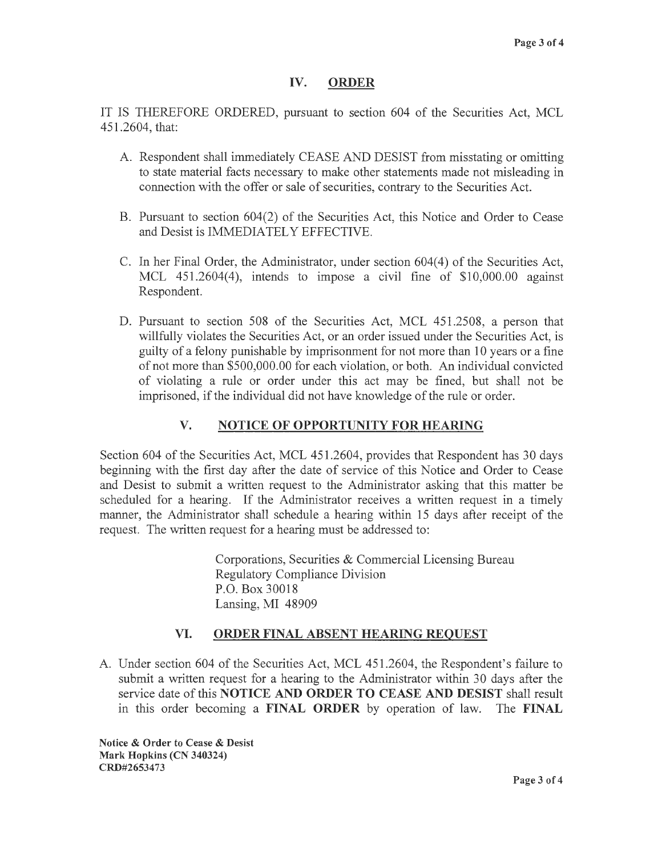### IV. ORDER

IT IS THEREFORE ORDERED, pursuant to section 604 of the Securities Act, MCL 451.2604, that:

- A. Respondent shall immediately CEASE AND DESIST from misstating or omitting to state material facts necessary to make other statements made not misleading in connection with the offer or sale of securities, contrary to the Securities Act.
- B. Pursuant to section 604(2) of the Securities Act, this Notice and Order to Cease and Desist is IMMEDIATELY EFFECTIVE.
- C. In her Final Order, the Administrator, under section 604(4) of the Securities Act, MCL 451.2604(4), intends to impose a civil fine of \$10,000.00 against Respondent.
- D. Pursuant to section 508 of the Securities Act, MCL 451.2508, a person that willfully violates the Securities Act, or an order issued under the Securities Act, is guilty of a felony punishable by imprisonment for not more than 10 years or a fine of not more than \$500,000.00 for each violation, or both. An individual convicted of violating a rule or order under this act may be fined, but shall not be imprisoned, if the individual did not have knowledge of the rule or order.

# **V. NOTICE OF OPPORTUNITY FOR HEARING**

Section 604 of the Securities Act, MCL 451.2604, provides that Respondent has 30 days beginning with the first day after the date of service of this Notice and Order to Cease and Desist to submit a written request to the Administrator asking that this matter be scheduled for a hearing. If the Administrator receives a written request in a timely manner, the Administrator shall schedule a hearing within 15 days after receipt of the request. The written request for a hearing must be addressed to:

> Corporations, Securities & Commercial Licensing Bureau Regulatory Compliance Division P.O. Box 30018 Lansing, MI 48909

## **VI. ORDER FINAL ABSENT HEARING REQUEST**

A. Under section 604 of the Securities Act, MCL 451.2604, the Respondent's failure to submit a written request for a hearing to the Administrator within 30 days after the service date of this **NOTICE AND ORDER TO CEASE AND DESIST** shall result in this order becoming a **FINAL ORDER** by operation of law. The **FINAL** 

**Notice** & **Order to Cease** & **Desist Mark Hopkins (CN 340324) CRD#2653473**